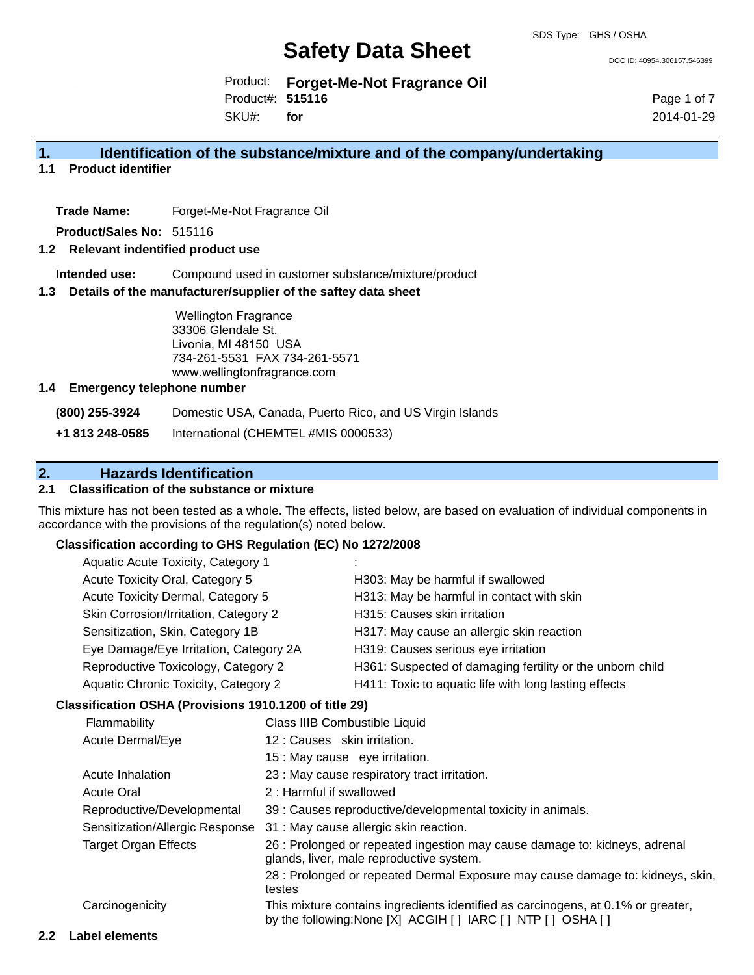DOC ID: 40954.306157.546399

Product: **Forget-Me-Not Fragrance Oil** Product#: **515116**

SKU#: **for**

Page 1 of 7 2014-01-29

# **1. Identification of the substance/mixture and of the company/undertaking**

**1.1 Product identifier**

**Trade Name:** Forget-Me-Not Fragrance Oil

**Product/Sales No:** 515116

#### **1.2 Relevant indentified product use**

**Intended use:** Compound used in customer substance/mixture/product

#### **1.3 Details of the manufacturer/supplier of the saftey data sheet**

Wellington Fragrance 33306 Glendale St. Livonia, MI 48150 USA 734-261-5531 FAX 734-261-5571 www.wellingtonfragrance.com

#### **1.4 Emergency telephone number**

**(800) 255-3924** Domestic USA, Canada, Puerto Rico, and US Virgin Islands

**+1 813 248-0585** International (CHEMTEL #MIS 0000533)

# **2. Hazards Identification**

# **2.1 Classification of the substance or mixture**

This mixture has not been tested as a whole. The effects, listed below, are based on evaluation of individual components in accordance with the provisions of the regulation(s) noted below.

#### **Classification according to GHS Regulation (EC) No 1272/2008**

| Aquatic Acute Toxicity, Category 1     |                                                           |
|----------------------------------------|-----------------------------------------------------------|
| Acute Toxicity Oral, Category 5        | H303: May be harmful if swallowed                         |
| Acute Toxicity Dermal, Category 5      | H313: May be harmful in contact with skin                 |
| Skin Corrosion/Irritation, Category 2  | H315: Causes skin irritation                              |
| Sensitization, Skin, Category 1B       | H317: May cause an allergic skin reaction                 |
| Eye Damage/Eye Irritation, Category 2A | H319: Causes serious eye irritation                       |
| Reproductive Toxicology, Category 2    | H361: Suspected of damaging fertility or the unborn child |
| Aquatic Chronic Toxicity, Category 2   | H411: Toxic to aquatic life with long lasting effects     |
|                                        |                                                           |

#### **Classification OSHA (Provisions 1910.1200 of title 29)**

| Flammability                    | Class IIIB Combustible Liquid                                                                                                                  |
|---------------------------------|------------------------------------------------------------------------------------------------------------------------------------------------|
| Acute Dermal/Eye                | 12: Causes skin irritation.                                                                                                                    |
|                                 | 15 : May cause eye irritation.                                                                                                                 |
| Acute Inhalation                | 23 : May cause respiratory tract irritation.                                                                                                   |
| <b>Acute Oral</b>               | 2: Harmful if swallowed                                                                                                                        |
| Reproductive/Developmental      | 39 : Causes reproductive/developmental toxicity in animals.                                                                                    |
| Sensitization/Allergic Response | 31 : May cause allergic skin reaction.                                                                                                         |
| <b>Target Organ Effects</b>     | 26 : Prolonged or repeated ingestion may cause damage to: kidneys, adrenal<br>glands, liver, male reproductive system.                         |
|                                 | 28 : Prolonged or repeated Dermal Exposure may cause damage to: kidneys, skin,<br>testes                                                       |
| Carcinogenicity                 | This mixture contains ingredients identified as carcinogens, at 0.1% or greater,<br>by the following: None [X] ACGIH [] IARC [] NTP [] OSHA [] |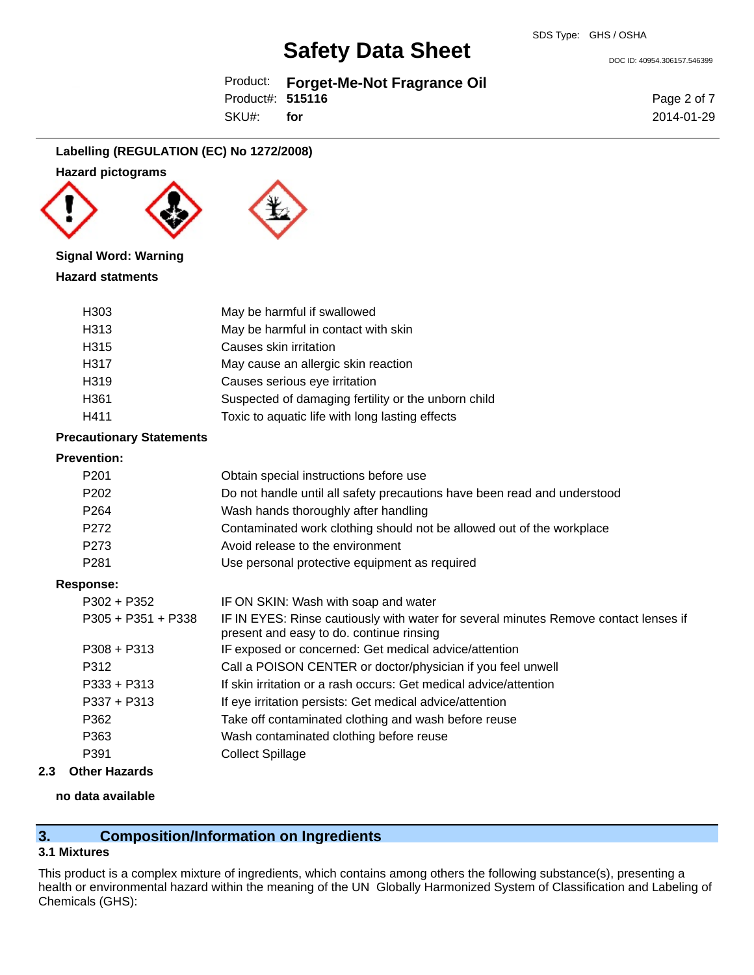Product: **Forget-Me-Not Fragrance Oil** Product#: **515116**

SKU#: **for** Page 2 of 7 2014-01-29

DOC ID: 40954.306157.546399

# **Labelling (REGULATION (EC) No 1272/2008)**

#### **Hazard pictograms**





#### **Signal Word: Warning**

# **Hazard statments**

| H <sub>303</sub> | May be harmful if swallowed                         |
|------------------|-----------------------------------------------------|
| H313             | May be harmful in contact with skin                 |
| H315             | Causes skin irritation                              |
| H317             | May cause an allergic skin reaction                 |
| H319             | Causes serious eye irritation                       |
| H <sub>361</sub> | Suspected of damaging fertility or the unborn child |
| H411             | Toxic to aquatic life with long lasting effects     |

#### **Precautionary Statements**

#### **Prevention:**

| P <sub>201</sub>     | Obtain special instructions before use                                                                                           |
|----------------------|----------------------------------------------------------------------------------------------------------------------------------|
| P <sub>202</sub>     | Do not handle until all safety precautions have been read and understood                                                         |
| P <sub>264</sub>     | Wash hands thoroughly after handling                                                                                             |
| P272                 | Contaminated work clothing should not be allowed out of the workplace                                                            |
| P273                 | Avoid release to the environment                                                                                                 |
| P <sub>281</sub>     | Use personal protective equipment as required                                                                                    |
| <b>Response:</b>     |                                                                                                                                  |
| $P302 + P352$        | IF ON SKIN: Wash with soap and water                                                                                             |
| $P305 + P351 + P338$ | IF IN EYES: Rinse cautiously with water for several minutes Remove contact lenses if<br>present and easy to do. continue rinsing |
| $P308 + P313$        | IF exposed or concerned: Get medical advice/attention                                                                            |
| P312                 | Call a POISON CENTER or doctor/physician if you feel unwell                                                                      |
| $P333 + P313$        | If skin irritation or a rash occurs: Get medical advice/attention                                                                |
| $P337 + P313$        | If eye irritation persists: Get medical advice/attention                                                                         |
| P362                 | Take off contaminated clothing and wash before reuse                                                                             |
| P363                 | Wash contaminated clothing before reuse                                                                                          |
| P391                 | Collect Spillage                                                                                                                 |
|                      |                                                                                                                                  |

# **2.3 Other Hazards**

# **no data available**

# **3. Composition/Information on Ingredients**

### **3.1 Mixtures**

This product is a complex mixture of ingredients, which contains among others the following substance(s), presenting a health or environmental hazard within the meaning of the UN Globally Harmonized System of Classification and Labeling of Chemicals (GHS):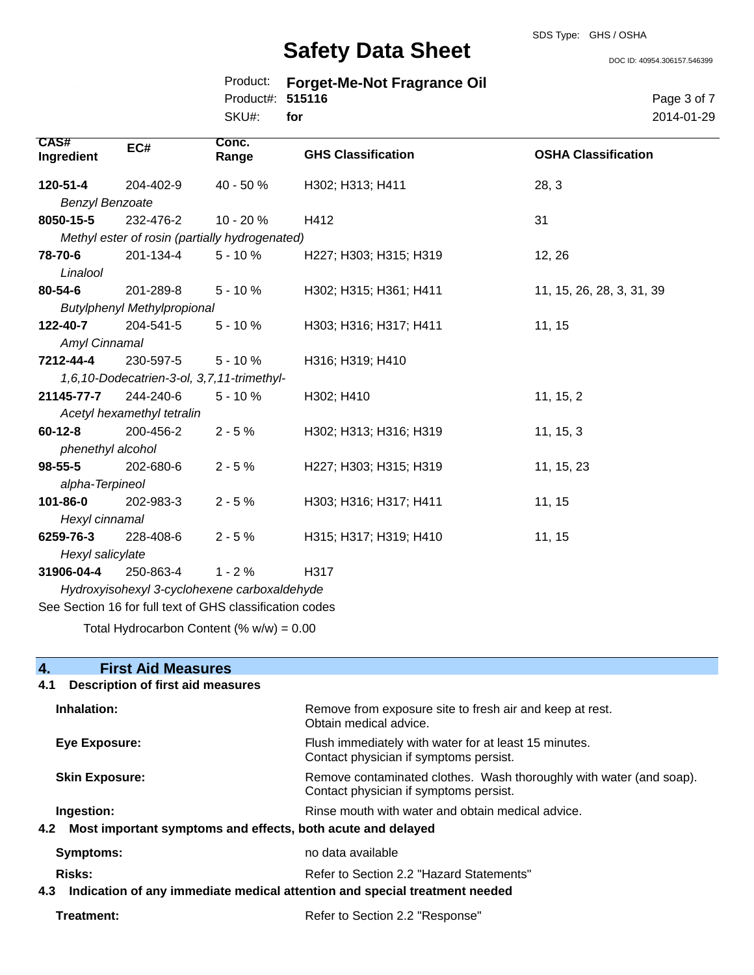DOC ID: 40954.306157.546399

|                  | Product: Forget-Me-Not Fragrance Oil |
|------------------|--------------------------------------|
| Product#: 515116 |                                      |

SKU#: **for** Page 3 of 7 2014-01-29

| <b>CAS#</b><br>Ingredient                                | EC#                                            | Conc.<br>Range | <b>GHS Classification</b> | <b>OSHA Classification</b> |
|----------------------------------------------------------|------------------------------------------------|----------------|---------------------------|----------------------------|
| 120-51-4                                                 | 204-402-9                                      | 40 - 50 %      | H302; H313; H411          | 28, 3                      |
| <b>Benzyl Benzoate</b>                                   |                                                |                |                           |                            |
| 8050-15-5                                                | 232-476-2                                      | $10 - 20%$     | H412                      | 31                         |
|                                                          | Methyl ester of rosin (partially hydrogenated) |                |                           |                            |
| 78-70-6                                                  | 201-134-4                                      | $5 - 10%$      | H227; H303; H315; H319    | 12, 26                     |
| Linalool                                                 |                                                |                |                           |                            |
| 80-54-6                                                  | 201-289-8                                      | $5 - 10%$      | H302; H315; H361; H411    | 11, 15, 26, 28, 3, 31, 39  |
|                                                          | <b>Butylphenyl Methylpropional</b>             |                |                           |                            |
| 122-40-7                                                 | 204-541-5                                      | $5 - 10%$      | H303; H316; H317; H411    | 11, 15                     |
| Amyl Cinnamal                                            |                                                |                |                           |                            |
| 7212-44-4                                                | 230-597-5                                      | $5 - 10%$      | H316; H319; H410          |                            |
|                                                          | 1,6,10-Dodecatrien-3-ol, 3,7,11-trimethyl-     |                |                           |                            |
| 21145-77-7                                               | 244-240-6                                      | $5 - 10%$      | H302; H410                | 11, 15, 2                  |
| Acetyl hexamethyl tetralin                               |                                                |                |                           |                            |
| $60 - 12 - 8$                                            | 200-456-2                                      | $2 - 5%$       | H302; H313; H316; H319    | 11, 15, 3                  |
| phenethyl alcohol                                        |                                                |                |                           |                            |
| $98 - 55 - 5$                                            | 202-680-6                                      | $2 - 5%$       | H227; H303; H315; H319    | 11, 15, 23                 |
| alpha-Terpineol                                          |                                                |                |                           |                            |
| 101-86-0                                                 | 202-983-3                                      | $2 - 5%$       | H303; H316; H317; H411    | 11, 15                     |
| Hexyl cinnamal                                           |                                                |                |                           |                            |
| 6259-76-3                                                | 228-408-6                                      | $2 - 5%$       | H315; H317; H319; H410    | 11, 15                     |
| Hexyl salicylate                                         |                                                |                |                           |                            |
| 31906-04-4                                               | 250-863-4                                      | $1 - 2%$       | H317                      |                            |
| Hydroxyisohexyl 3-cyclohexene carboxaldehyde             |                                                |                |                           |                            |
| See Section 16 for full text of GHS classification codes |                                                |                |                           |                            |
|                                                          |                                                |                |                           |                            |

Total Hydrocarbon Content  $(\% w/w) = 0.00$ 

# **4. First Aid Measures**

| Description of first aid measures<br>4.1                                       |                                                                                                               |  |
|--------------------------------------------------------------------------------|---------------------------------------------------------------------------------------------------------------|--|
| Inhalation:                                                                    | Remove from exposure site to fresh air and keep at rest.<br>Obtain medical advice.                            |  |
| Eye Exposure:                                                                  | Flush immediately with water for at least 15 minutes.<br>Contact physician if symptoms persist.               |  |
| <b>Skin Exposure:</b>                                                          | Remove contaminated clothes. Wash thoroughly with water (and soap).<br>Contact physician if symptoms persist. |  |
| Ingestion:                                                                     | Rinse mouth with water and obtain medical advice.                                                             |  |
| 4.2 Most important symptoms and effects, both acute and delayed                |                                                                                                               |  |
| Symptoms:                                                                      | no data available                                                                                             |  |
| <b>Risks:</b>                                                                  | Refer to Section 2.2 "Hazard Statements"                                                                      |  |
| 4.3 Indication of any immediate medical attention and special treatment needed |                                                                                                               |  |
| Treatment:                                                                     | Refer to Section 2.2 "Response"                                                                               |  |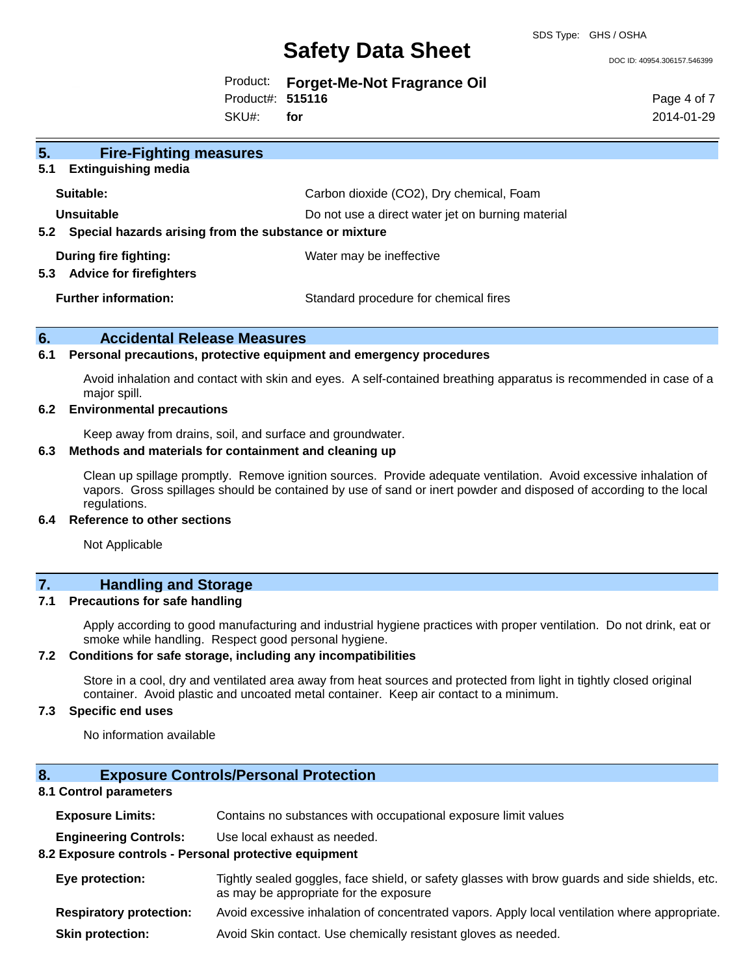DOC ID: 40954.306157.546399

|  | Product: Forget-Me-Not Fragrance Oil |  |  |
|--|--------------------------------------|--|--|
|--|--------------------------------------|--|--|

Product#: **515116**

SKU#: **for** Page 4 of 7 2014-01-29

| 5.<br><b>Fire-Fighting measures</b>                                   |                                                   |
|-----------------------------------------------------------------------|---------------------------------------------------|
| 5.1<br><b>Extinguishing media</b>                                     |                                                   |
| Suitable:                                                             | Carbon dioxide (CO2), Dry chemical, Foam          |
| Unsuitable                                                            | Do not use a direct water jet on burning material |
| Special hazards arising from the substance or mixture<br>5.2          |                                                   |
| <b>During fire fighting:</b><br>5.3<br><b>Advice for firefighters</b> | Water may be ineffective                          |
| <b>Further information:</b>                                           | Standard procedure for chemical fires             |

### **6. Accidental Release Measures**

### **6.1 Personal precautions, protective equipment and emergency procedures**

Avoid inhalation and contact with skin and eyes. A self-contained breathing apparatus is recommended in case of a major spill.

#### **6.2 Environmental precautions**

Keep away from drains, soil, and surface and groundwater.

# **6.3 Methods and materials for containment and cleaning up**

Clean up spillage promptly. Remove ignition sources. Provide adequate ventilation. Avoid excessive inhalation of vapors. Gross spillages should be contained by use of sand or inert powder and disposed of according to the local regulations.

#### **6.4 Reference to other sections**

Not Applicable

# **7. Handling and Storage**

#### **7.1 Precautions for safe handling**

Apply according to good manufacturing and industrial hygiene practices with proper ventilation. Do not drink, eat or smoke while handling. Respect good personal hygiene.

#### **7.2 Conditions for safe storage, including any incompatibilities**

Store in a cool, dry and ventilated area away from heat sources and protected from light in tightly closed original container. Avoid plastic and uncoated metal container. Keep air contact to a minimum.

# **7.3 Specific end uses**

No information available

# **8. Exposure Controls/Personal Protection**

### **8.1 Control parameters**

| <b>Exposure Limits:</b>                               | Contains no substances with occupational exposure limit values                                                                           |  |
|-------------------------------------------------------|------------------------------------------------------------------------------------------------------------------------------------------|--|
| <b>Engineering Controls:</b>                          | Use local exhaust as needed.                                                                                                             |  |
| 8.2 Exposure controls - Personal protective equipment |                                                                                                                                          |  |
| Eye protection:                                       | Tightly sealed goggles, face shield, or safety glasses with brow guards and side shields, etc.<br>as may be appropriate for the exposure |  |
| <b>Respiratory protection:</b>                        | Avoid excessive inhalation of concentrated vapors. Apply local ventilation where appropriate.                                            |  |
| <b>Skin protection:</b>                               | Avoid Skin contact. Use chemically resistant gloves as needed.                                                                           |  |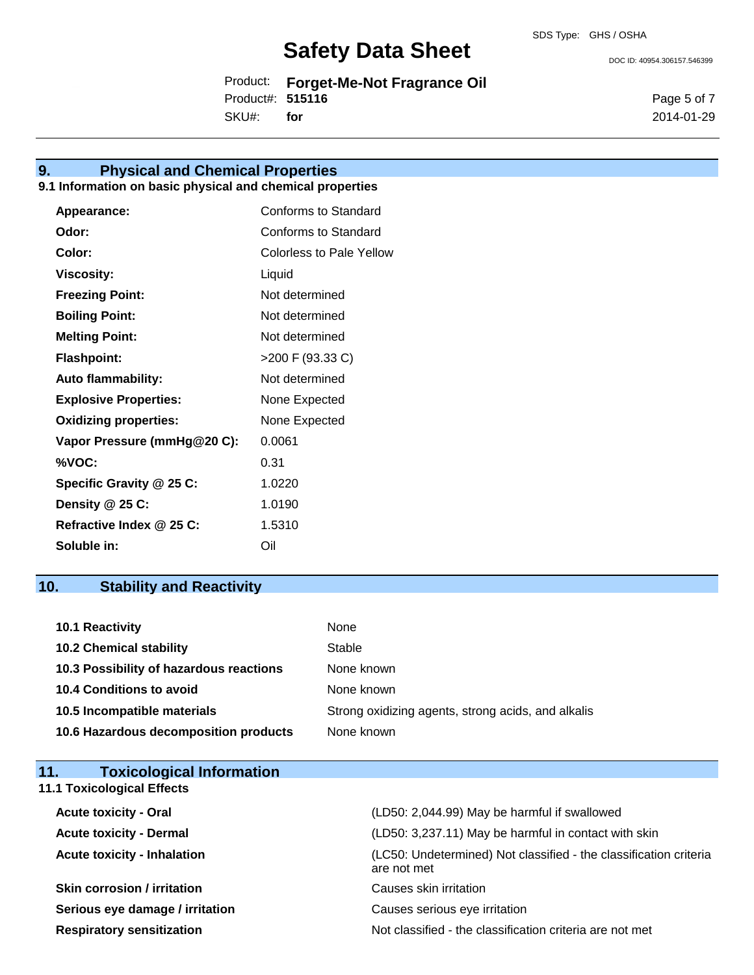DOC ID: 40954.306157.546399

Product: **Forget-Me-Not Fragrance Oil** Product#: **515116**

SKU#: **for** Page 5 of 7 2014-01-29

# **9. Physical and Chemical Properties**

# **9.1 Information on basic physical and chemical properties**

| Appearance:                  | Conforms to Standard     |
|------------------------------|--------------------------|
| Odor:                        | Conforms to Standard     |
| Color:                       | Colorless to Pale Yellow |
| Viscosity:                   | Liquid                   |
| <b>Freezing Point:</b>       | Not determined           |
| <b>Boiling Point:</b>        | Not determined           |
| <b>Melting Point:</b>        | Not determined           |
| <b>Flashpoint:</b>           | >200 F (93.33 C)         |
| <b>Auto flammability:</b>    | Not determined           |
| <b>Explosive Properties:</b> | None Expected            |
| <b>Oxidizing properties:</b> | None Expected            |
| Vapor Pressure (mmHg@20 C):  | 0.0061                   |
| %VOC:                        | 0.31                     |
| Specific Gravity @ 25 C:     | 1.0220                   |
| Density @ 25 C:              | 1.0190                   |
| Refractive Index @ 25 C:     | 1.5310                   |
| Soluble in:                  | Oil                      |

# **10. Stability and Reactivity**

| <b>10.1 Reactivity</b>                  | None                                               |
|-----------------------------------------|----------------------------------------------------|
| <b>10.2 Chemical stability</b>          | Stable                                             |
| 10.3 Possibility of hazardous reactions | None known                                         |
| <b>10.4 Conditions to avoid</b>         | None known                                         |
| 10.5 Incompatible materials             | Strong oxidizing agents, strong acids, and alkalis |
| 10.6 Hazardous decomposition products   | None known                                         |

| <b>Toxicological Information</b><br>11.7 |                                                                                  |
|------------------------------------------|----------------------------------------------------------------------------------|
| <b>11.1 Toxicological Effects</b>        |                                                                                  |
| <b>Acute toxicity - Oral</b>             | (LD50: 2,044.99) May be harmful if swallowed                                     |
| <b>Acute toxicity - Dermal</b>           | (LD50: 3,237.11) May be harmful in contact with skin                             |
| <b>Acute toxicity - Inhalation</b>       | (LC50: Undetermined) Not classified - the classification criteria<br>are not met |
| <b>Skin corrosion / irritation</b>       | Causes skin irritation                                                           |
| Sarious ave damage / irritation          | Causes serious eve irritation                                                    |

**Serious eye damage / irritation** Causes serious eye irritation **Respiratory sensitization** Not classified - the classification criteria are not met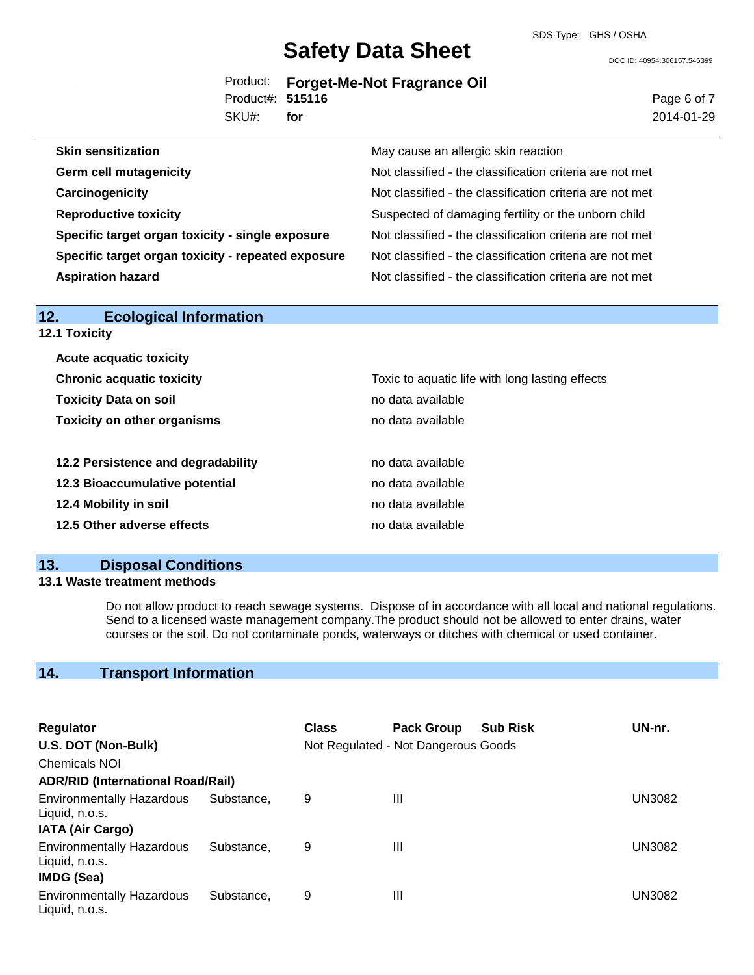SDS Type: GHS / OSHA

DOC ID: 40954.306157.546399

|                  | Product: Forget-Me-Not Fragrance Oil |
|------------------|--------------------------------------|
| Product#: 515116 |                                      |
| SKU#: for        |                                      |

Page 6 of 7 2014-01-29

| <b>Skin sensitization</b>                          | May cause an allergic skin reaction                      |
|----------------------------------------------------|----------------------------------------------------------|
| <b>Germ cell mutagenicity</b>                      | Not classified - the classification criteria are not met |
| Carcinogenicity                                    | Not classified - the classification criteria are not met |
| <b>Reproductive toxicity</b>                       | Suspected of damaging fertility or the unborn child      |
| Specific target organ toxicity - single exposure   | Not classified - the classification criteria are not met |
| Specific target organ toxicity - repeated exposure | Not classified - the classification criteria are not met |
| <b>Aspiration hazard</b>                           | Not classified - the classification criteria are not met |
|                                                    |                                                          |

| 12.<br><b>Ecological Information</b> |                                                 |
|--------------------------------------|-------------------------------------------------|
| <b>12.1 Toxicity</b>                 |                                                 |
| <b>Acute acquatic toxicity</b>       |                                                 |
| <b>Chronic acquatic toxicity</b>     | Toxic to aquatic life with long lasting effects |
| <b>Toxicity Data on soil</b>         | no data available                               |
| <b>Toxicity on other organisms</b>   | no data available                               |
| 12.2 Persistence and degradability   | no data available                               |
| 12.3 Bioaccumulative potential       | no data available                               |
| 12.4 Mobility in soil                | no data available                               |
| 12.5 Other adverse effects           | no data available                               |
|                                      |                                                 |

# **13. Disposal Conditions**

# **13.1 Waste treatment methods**

Do not allow product to reach sewage systems. Dispose of in accordance with all local and national regulations. Send to a licensed waste management company.The product should not be allowed to enter drains, water courses or the soil. Do not contaminate ponds, waterways or ditches with chemical or used container.

# **14. Transport Information**

| Regulator                                                        |            | <b>Class</b> | <b>Pack Group</b>                   | <b>Sub Risk</b> | UN-nr.        |
|------------------------------------------------------------------|------------|--------------|-------------------------------------|-----------------|---------------|
| U.S. DOT (Non-Bulk)                                              |            |              | Not Regulated - Not Dangerous Goods |                 |               |
| <b>Chemicals NOI</b>                                             |            |              |                                     |                 |               |
| <b>ADR/RID (International Road/Rail)</b>                         |            |              |                                     |                 |               |
| <b>Environmentally Hazardous</b><br>Liquid, n.o.s.               | Substance. | 9            | Ш                                   |                 | <b>UN3082</b> |
| <b>IATA (Air Cargo)</b>                                          |            |              |                                     |                 |               |
| <b>Environmentally Hazardous</b><br>Liquid, n.o.s.<br>IMDG (Sea) | Substance. | 9            | Ш                                   |                 | UN3082        |
| <b>Environmentally Hazardous</b><br>Liquid, n.o.s.               | Substance. | 9            | Ш                                   |                 | UN3082        |